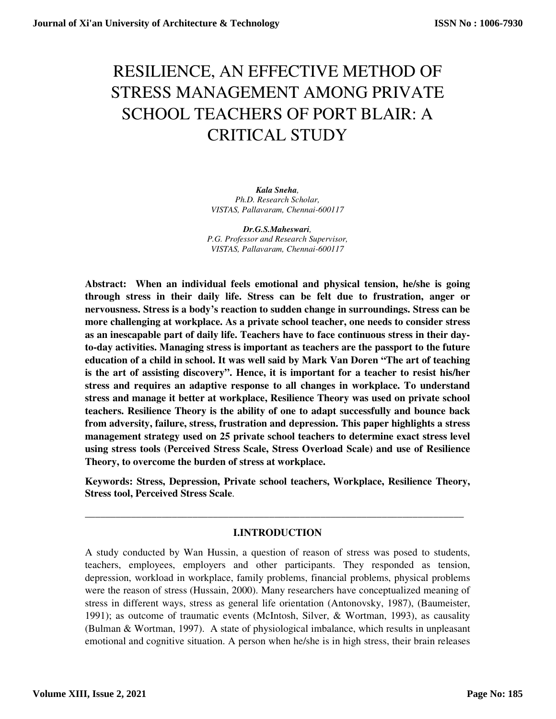# RESILIENCE, AN EFFECTIVE METHOD OF STRESS MANAGEMENT AMONG PRIVATE SCHOOL TEACHERS OF PORT BLAIR: A CRITICAL STUDY

*Kala Sneha, Ph.D. Research Scholar, VISTAS, Pallavaram, Chennai-600117* 

*Dr.G.S.Maheswari, P.G. Professor and Research Supervisor, VISTAS, Pallavaram, Chennai-600117* 

**Abstract: When an individual feels emotional and physical tension, he/she is going through stress in their daily life. Stress can be felt due to frustration, anger or nervousness. Stress is a body's reaction to sudden change in surroundings. Stress can be more challenging at workplace. As a private school teacher, one needs to consider stress as an inescapable part of daily life. Teachers have to face continuous stress in their dayto-day activities. Managing stress is important as teachers are the passport to the future education of a child in school. It was well said by Mark Van Doren "The art of teaching is the art of assisting discovery". Hence, it is important for a teacher to resist his/her stress and requires an adaptive response to all changes in workplace. To understand stress and manage it better at workplace, Resilience Theory was used on private school teachers. Resilience Theory is the ability of one to adapt successfully and bounce back from adversity, failure, stress, frustration and depression. This paper highlights a stress management strategy used on 25 private school teachers to determine exact stress level using stress tools (Perceived Stress Scale, Stress Overload Scale) and use of Resilience Theory, to overcome the burden of stress at workplace.** 

**Keywords: Stress, Depression, Private school teachers, Workplace, Resilience Theory, Stress tool, Perceived Stress Scale**.

## **I.INTRODUCTION**

\_\_\_\_\_\_\_\_\_\_\_\_\_\_\_\_\_\_\_\_\_\_\_\_\_\_\_\_\_\_\_\_\_\_\_\_\_\_\_\_\_\_\_\_\_\_\_\_\_\_\_\_\_\_\_\_\_\_\_\_\_\_\_\_\_\_\_\_\_\_\_\_\_\_

A study conducted by Wan Hussin, a question of reason of stress was posed to students, teachers, employees, employers and other participants. They responded as tension, depression, workload in workplace, family problems, financial problems, physical problems were the reason of stress (Hussain, 2000). Many researchers have conceptualized meaning of stress in different ways, stress as general life orientation (Antonovsky, 1987), (Baumeister, 1991); as outcome of traumatic events (McIntosh, Silver, & Wortman, 1993), as causality (Bulman & Wortman, 1997). A state of physiological imbalance, which results in unpleasant emotional and cognitive situation. A person when he/she is in high stress, their brain releases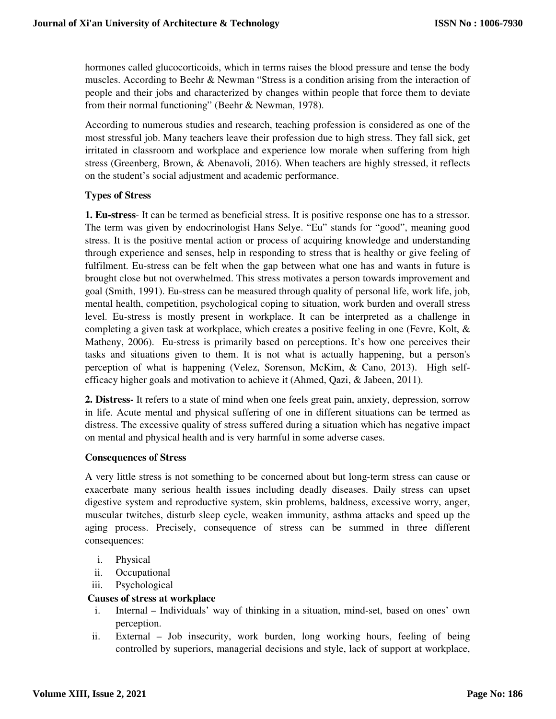hormones called glucocorticoids, which in terms raises the blood pressure and tense the body muscles. According to Beehr & Newman "Stress is a condition arising from the interaction of people and their jobs and characterized by changes within people that force them to deviate from their normal functioning" (Beehr & Newman, 1978).

According to numerous studies and research, teaching profession is considered as one of the most stressful job. Many teachers leave their profession due to high stress. They fall sick, get irritated in classroom and workplace and experience low morale when suffering from high stress (Greenberg, Brown, & Abenavoli, 2016). When teachers are highly stressed, it reflects on the student's social adjustment and academic performance.

# **Types of Stress**

**1. Eu-stress**- It can be termed as beneficial stress. It is positive response one has to a stressor. The term was given by endocrinologist Hans Selye. "Eu" stands for "good", meaning good stress. It is the positive mental action or process of acquiring knowledge and understanding through experience and senses, help in responding to stress that is healthy or give feeling of fulfilment. Eu-stress can be felt when the gap between what one has and wants in future is brought close but not overwhelmed. This stress motivates a person towards improvement and goal (Smith, 1991). Eu-stress can be measured through quality of personal life, work life, job, mental health, competition, psychological coping to situation, work burden and overall stress level. Eu-stress is mostly present in workplace. It can be interpreted as a challenge in completing a given task at workplace, which creates a positive feeling in one (Fevre, Kolt, & Matheny, 2006). Eu-stress is primarily based on perceptions. It's how one perceives their tasks and situations given to them. It is not what is actually happening, but a person's perception of what is happening (Velez, Sorenson, McKim, & Cano, 2013). High selfefficacy higher goals and motivation to achieve it (Ahmed, Qazi, & Jabeen, 2011).

**2. Distress-** It refers to a state of mind when one feels great pain, anxiety, depression, sorrow in life. Acute mental and physical suffering of one in different situations can be termed as distress. The excessive quality of stress suffered during a situation which has negative impact on mental and physical health and is very harmful in some adverse cases.

## **Consequences of Stress**

A very little stress is not something to be concerned about but long-term stress can cause or exacerbate many serious health issues including deadly diseases. Daily stress can upset digestive system and reproductive system, skin problems, baldness, excessive worry, anger, muscular twitches, disturb sleep cycle, weaken immunity, asthma attacks and speed up the aging process. Precisely, consequence of stress can be summed in three different consequences:

- i. Physical
- ii. Occupational
- iii. Psychological

## **Causes of stress at workplace**

- i. Internal Individuals' way of thinking in a situation, mind-set, based on ones' own perception.
- ii. External Job insecurity, work burden, long working hours, feeling of being controlled by superiors, managerial decisions and style, lack of support at workplace,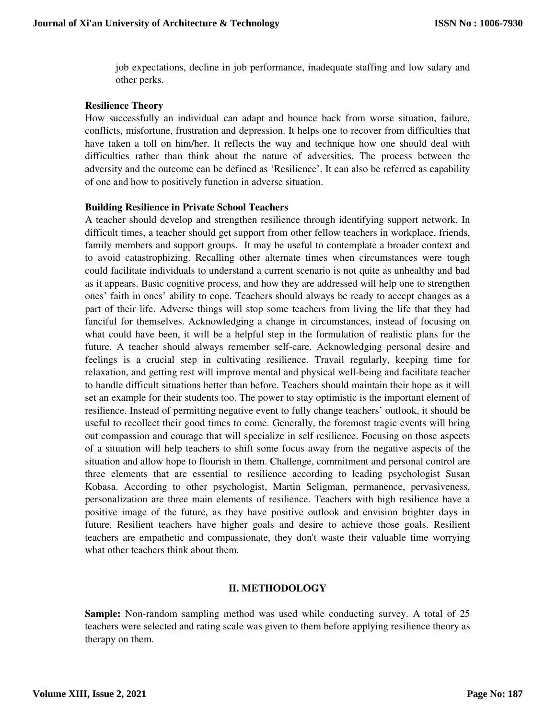job expectations, decline in job performance, inadequate staffing and low salary and other perks.

#### **Resilience Theory**

How successfully an individual can adapt and bounce back from worse situation, failure, conflicts, misfortune, frustration and depression. It helps one to recover from difficulties that have taken a toll on him/her. It reflects the way and technique how one should deal with difficulties rather than think about the nature of adversities. The process between the adversity and the outcome can be defined as 'Resilience'. It can also be referred as capability of one and how to positively function in adverse situation.

#### **Building Resilience in Private School Teachers**

A teacher should develop and strengthen resilience through identifying support network. In difficult times, a teacher should get support from other fellow teachers in workplace, friends, family members and support groups. It may be useful to contemplate a broader context and to avoid catastrophizing. Recalling other alternate times when circumstances were tough could facilitate individuals to understand a current scenario is not quite as unhealthy and bad as it appears. Basic cognitive process, and how they are addressed will help one to strengthen ones' faith in ones' ability to cope. Teachers should always be ready to accept changes as a part of their life. Adverse things will stop some teachers from living the life that they had fanciful for themselves. Acknowledging a change in circumstances, instead of focusing on what could have been, it will be a helpful step in the formulation of realistic plans for the future. A teacher should always remember self-care. Acknowledging personal desire and feelings is a crucial step in cultivating resilience. Travail regularly, keeping time for relaxation, and getting rest will improve mental and physical well-being and facilitate teacher to handle difficult situations better than before. Teachers should maintain their hope as it will set an example for their students too. The power to stay optimistic is the important element of resilience. Instead of permitting negative event to fully change teachers' outlook, it should be useful to recollect their good times to come. Generally, the foremost tragic events will bring out compassion and courage that will specialize in self resilience. Focusing on those aspects of a situation will help teachers to shift some focus away from the negative aspects of the situation and allow hope to flourish in them. Challenge, commitment and personal control are three elements that are essential to resilience according to leading psychologist Susan Kobasa. According to other psychologist, Martin Seligman, permanence, pervasiveness, personalization are three main elements of resilience. Teachers with high resilience have a positive image of the future, as they have positive outlook and envision brighter days in future. Resilient teachers have higher goals and desire to achieve those goals. Resilient teachers are empathetic and compassionate, they don't waste their valuable time worrying what other teachers think about them.

## **II. METHODOLOGY**

**Sample:** Non-random sampling method was used while conducting survey. A total of 25 teachers were selected and rating scale was given to them before applying resilience theory as therapy on them.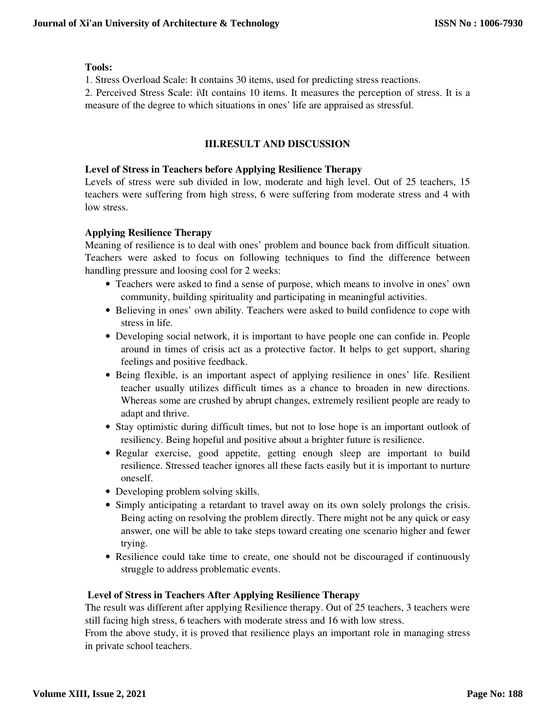## **Tools:**

1. Stress Overload Scale: It contains 30 items, used for predicting stress reactions.

2. Perceived Stress Scale: i\It contains 10 items. It measures the perception of stress. It is a measure of the degree to which situations in ones' life are appraised as stressful.

# **III.RESULT AND DISCUSSION**

## **Level of Stress in Teachers before Applying Resilience Therapy**

Levels of stress were sub divided in low, moderate and high level. Out of 25 teachers, 15 teachers were suffering from high stress, 6 were suffering from moderate stress and 4 with low stress.

# **Applying Resilience Therapy**

Meaning of resilience is to deal with ones' problem and bounce back from difficult situation. Teachers were asked to focus on following techniques to find the difference between handling pressure and loosing cool for 2 weeks:

- Teachers were asked to find a sense of purpose, which means to involve in ones' own community, building spirituality and participating in meaningful activities.
- Believing in ones' own ability. Teachers were asked to build confidence to cope with stress in life.
- Developing social network, it is important to have people one can confide in. People around in times of crisis act as a protective factor. It helps to get support, sharing feelings and positive feedback.
- Being flexible, is an important aspect of applying resilience in ones' life. Resilient teacher usually utilizes difficult times as a chance to broaden in new directions. Whereas some are crushed by abrupt changes, extremely resilient people are ready to adapt and thrive.
- Stay optimistic during difficult times, but not to lose hope is an important outlook of resiliency. Being hopeful and positive about a brighter future is resilience.
- Regular exercise, good appetite, getting enough sleep are important to build resilience. Stressed teacher ignores all these facts easily but it is important to nurture oneself.
- Developing problem solving skills.
- Simply anticipating a retardant to travel away on its own solely prolongs the crisis. Being acting on resolving the problem directly. There might not be any quick or easy answer, one will be able to take steps toward creating one scenario higher and fewer trying.
- Resilience could take time to create, one should not be discouraged if continuously struggle to address problematic events.

# **Level of Stress in Teachers After Applying Resilience Therapy**

The result was different after applying Resilience therapy. Out of 25 teachers, 3 teachers were still facing high stress, 6 teachers with moderate stress and 16 with low stress.

From the above study, it is proved that resilience plays an important role in managing stress in private school teachers.